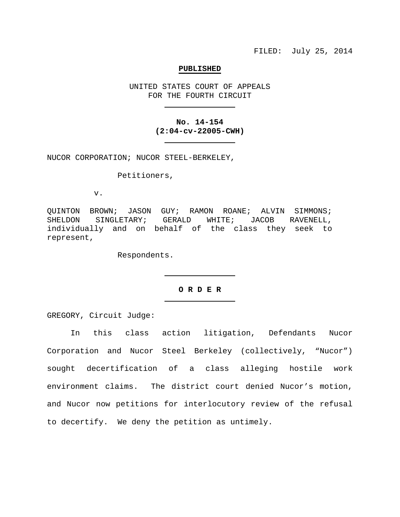### **PUBLISHED**

UNITED STATES COURT OF APPEALS FOR THE FOURTH CIRCUIT

# **No. 14-154 (2:04-cv-22005-CWH)**

NUCOR CORPORATION; NUCOR STEEL-BERKELEY,

Petitioners,

v.

QUINTON BROWN; JASON GUY; RAMON ROANE; ALVIN SIMMONS;<br>SHELDON SINGLETARY; GERALD WHITE; JACOB RAVENELL, GERALD WHITE; JACOB RAVENELL, individually and on behalf of the class they seek to represent,

Respondents.

### **O R D E R**

GREGORY, Circuit Judge:

In this class action litigation, Defendants Nucor Corporation and Nucor Steel Berkeley (collectively, "Nucor") sought decertification of a class alleging hostile work environment claims. The district court denied Nucor's motion, and Nucor now petitions for interlocutory review of the refusal to decertify. We deny the petition as untimely.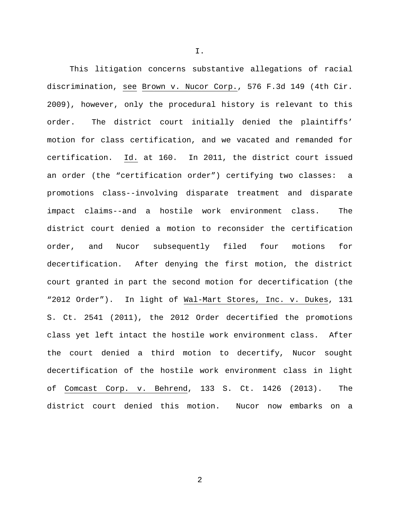This litigation concerns substantive allegations of racial discrimination, see Brown v. Nucor Corp., 576 F.3d 149 (4th Cir. 2009), however, only the procedural history is relevant to this order. The district court initially denied the plaintiffs' motion for class certification, and we vacated and remanded for certification. Id. at 160. In 2011, the district court issued an order (the "certification order") certifying two classes: a promotions class--involving disparate treatment and disparate impact claims--and a hostile work environment class. The district court denied a motion to reconsider the certification order, and Nucor subsequently filed four motions for decertification. After denying the first motion, the district court granted in part the second motion for decertification (the "2012 Order"). In light of Wal-Mart Stores, Inc. v. Dukes, 131 S. Ct. 2541 (2011), the 2012 Order decertified the promotions class yet left intact the hostile work environment class. After the court denied a third motion to decertify, Nucor sought decertification of the hostile work environment class in light of Comcast Corp. v. Behrend, 133 S. Ct. 1426 (2013). The district court denied this motion. Nucor now embarks on a

I.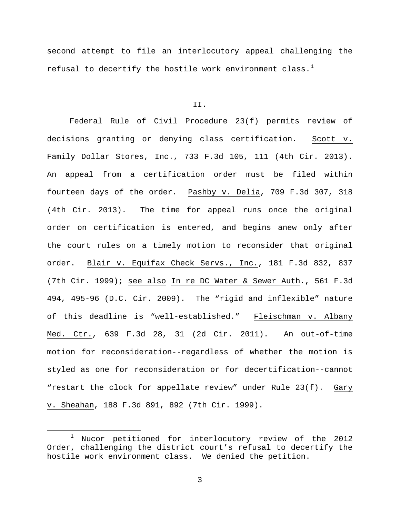second attempt to file an interlocutory appeal challenging the refusal to decertify the hostile work environment class.<sup>[1](#page-2-0)</sup>

#### II.

Federal Rule of Civil Procedure 23(f) permits review of decisions granting or denying class certification. Scott v. Family Dollar Stores, Inc., 733 F.3d 105, 111 (4th Cir. 2013). An appeal from a certification order must be filed within fourteen days of the order. Pashby v. Delia, 709 F.3d 307, 318 (4th Cir. 2013). The time for appeal runs once the original order on certification is entered, and begins anew only after the court rules on a timely motion to reconsider that original order. Blair v. Equifax Check Servs., Inc., 181 F.3d 832, 837 (7th Cir. 1999); see also In re DC Water & Sewer Auth., 561 F.3d 494, 495-96 (D.C. Cir. 2009). The "rigid and inflexible" nature of this deadline is "well-established." Fleischman v. Albany Med. Ctr., 639 F.3d 28, 31 (2d Cir. 2011). An out-of-time motion for reconsideration--regardless of whether the motion is styled as one for reconsideration or for decertification--cannot "restart the clock for appellate review" under Rule 23(f). Gary v. Sheahan, 188 F.3d 891, 892 (7th Cir. 1999).

3

<span id="page-2-0"></span> <sup>1</sup> Nucor petitioned for interlocutory review of the 2012 Order, challenging the district court's refusal to decertify the hostile work environment class. We denied the petition.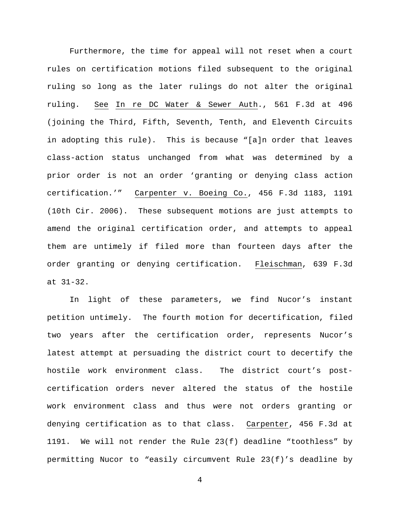Furthermore, the time for appeal will not reset when a court rules on certification motions filed subsequent to the original ruling so long as the later rulings do not alter the original ruling. See In re DC Water & Sewer Auth., 561 F.3d at 496 (joining the Third, Fifth, Seventh, Tenth, and Eleventh Circuits in adopting this rule). This is because "[a]n order that leaves class-action status unchanged from what was determined by a prior order is not an order 'granting or denying class action certification.'" Carpenter v. Boeing Co., 456 F.3d 1183, 1191 (10th Cir. 2006). These subsequent motions are just attempts to amend the original certification order, and attempts to appeal them are untimely if filed more than fourteen days after the order granting or denying certification. Fleischman, 639 F.3d at 31-32.

In light of these parameters, we find Nucor's instant petition untimely. The fourth motion for decertification, filed two years after the certification order, represents Nucor's latest attempt at persuading the district court to decertify the hostile work environment class. The district court's postcertification orders never altered the status of the hostile work environment class and thus were not orders granting or denying certification as to that class. Carpenter, 456 F.3d at 1191. We will not render the Rule 23(f) deadline "toothless" by permitting Nucor to "easily circumvent Rule 23(f)'s deadline by

4